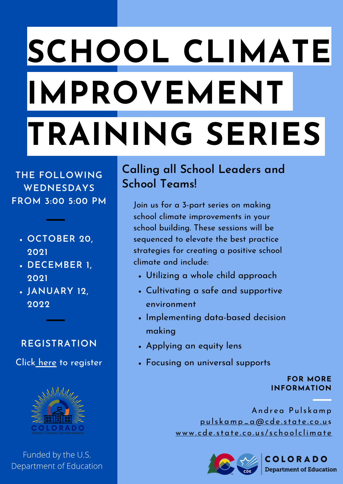# **SCHOOL CLIMATE IMPROVEMENT TRAINING SERIES**

**THE FOLLOWING WEDNESDAYS FROM 3:00 5:00 PM**

- **OCTOBER 20, 2021**
- **DECEMBER 1, 2021**
- **JANUARY 12, 2022**

### **REGISTRATION**

Click [here](https://docs.google.com/forms/d/e/1FAIpQLSeDDmjV933U0jCfOWHPzKrvXi1gfYUD25FDLxAVza51WwvJjg/viewform?usp=sf_link) to register



Funded by the U.S. Department of Education

### **Calling all School Leaders and School Teams!**

Join us for a 3-part series on making school climate improvements in your school building. These sessions will be sequenced to elevate the best practice strategies for creating a positive school climate and include:

- Utilizing a whole child approach
- Cultivating a safe and supportive environment
- Implementing data-based decision making
- Applying an equity lens
- Focusing on universal supports

#### **FOR MORE INFORMATION**

Andrea Pulskamp pu l s ka m [p\\_a@cde](mailto:pulskamp_a@cde.state.co.us) . s tat e . c o . u s [www.](http://www.cde.state.co.us/schoolclimate)cde.state.co.us/schoolclimate



COLORADO **Department of Education**